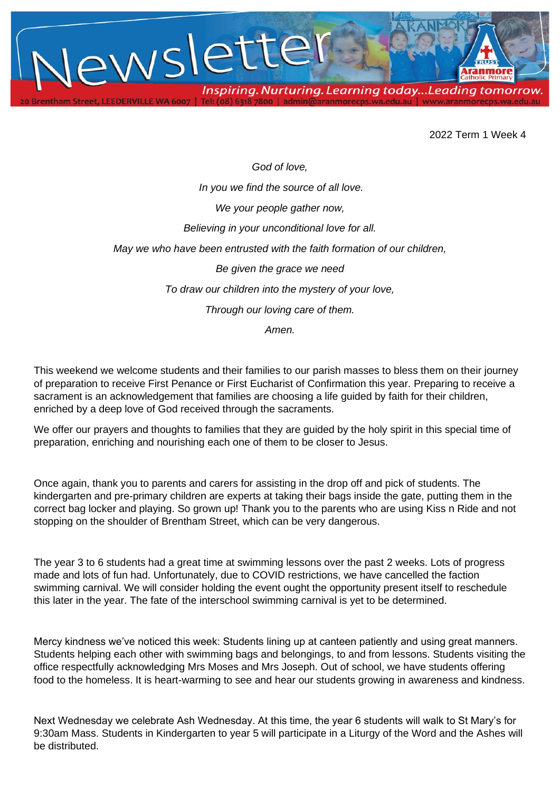

2022 Term 1 Week 4

*God of love, In you we find the source of all love. We your people gather now, Believing in your unconditional love for all. May we who have been entrusted with the faith formation of our children, Be given the grace we need To draw our children into the mystery of your love, Through our loving care of them. Amen.*

This weekend we welcome students and their families to our parish masses to bless them on their journey of preparation to receive First Penance or First Eucharist of Confirmation this year. Preparing to receive a sacrament is an acknowledgement that families are choosing a life guided by faith for their children, enriched by a deep love of God received through the sacraments.

We offer our prayers and thoughts to families that they are guided by the holy spirit in this special time of preparation, enriching and nourishing each one of them to be closer to Jesus.

Once again, thank you to parents and carers for assisting in the drop off and pick of students. The kindergarten and pre-primary children are experts at taking their bags inside the gate, putting them in the correct bag locker and playing. So grown up! Thank you to the parents who are using Kiss n Ride and not stopping on the shoulder of Brentham Street, which can be very dangerous.

The year 3 to 6 students had a great time at swimming lessons over the past 2 weeks. Lots of progress made and lots of fun had. Unfortunately, due to COVID restrictions, we have cancelled the faction swimming carnival. We will consider holding the event ought the opportunity present itself to reschedule this later in the year. The fate of the interschool swimming carnival is yet to be determined.

Mercy kindness we've noticed this week: Students lining up at canteen patiently and using great manners. Students helping each other with swimming bags and belongings, to and from lessons. Students visiting the office respectfully acknowledging Mrs Moses and Mrs Joseph. Out of school, we have students offering food to the homeless. It is heart-warming to see and hear our students growing in awareness and kindness.

Next Wednesday we celebrate Ash Wednesday. At this time, the year 6 students will walk to St Mary's for 9:30am Mass. Students in Kindergarten to year 5 will participate in a Liturgy of the Word and the Ashes will be distributed.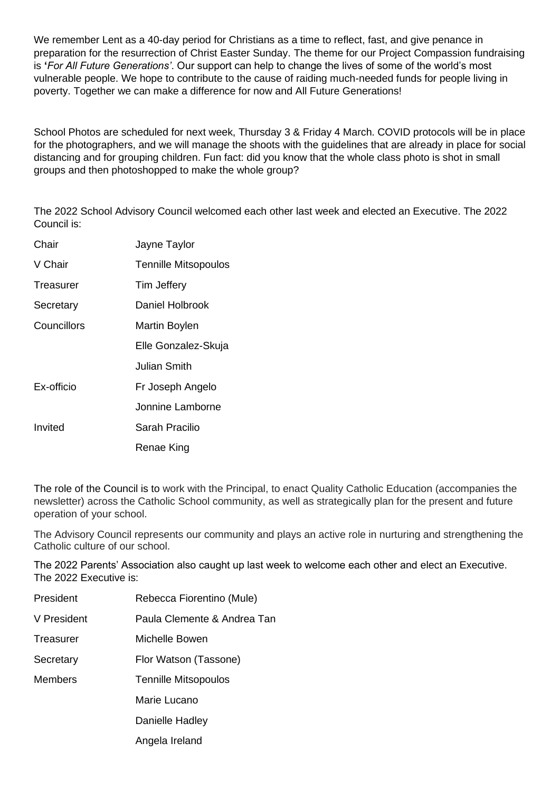We remember Lent as a 40-day period for Christians as a time to reflect, fast, and give penance in preparation for the resurrection of Christ Easter Sunday. The theme for our Project Compassion fundraising is **'***For All Future Generations'*. Our support can help to change the lives of some of the world's most vulnerable people. We hope to contribute to the cause of raiding much-needed funds for people living in poverty. Together we can make a difference for now and All Future Generations!

School Photos are scheduled for next week, Thursday 3 & Friday 4 March. COVID protocols will be in place for the photographers, and we will manage the shoots with the guidelines that are already in place for social distancing and for grouping children. Fun fact: did you know that the whole class photo is shot in small groups and then photoshopped to make the whole group?

The 2022 School Advisory Council welcomed each other last week and elected an Executive. The 2022 Council is:

| Chair       | Jayne Taylor                |
|-------------|-----------------------------|
| V Chair     | <b>Tennille Mitsopoulos</b> |
| Treasurer   | Tim Jeffery                 |
| Secretary   | Daniel Holbrook             |
| Councillors | Martin Boylen               |
|             | Elle Gonzalez-Skuja         |
|             | Julian Smith                |
| Ex-officio  | Fr Joseph Angelo            |
|             | Jonnine Lamborne            |
| Invited     | Sarah Pracilio              |
|             | Renae King                  |

The role of the Council is to work with the Principal, to enact Quality Catholic Education (accompanies the newsletter) across the Catholic School community, as well as strategically plan for the present and future operation of your school.

The Advisory Council represents our community and plays an active role in nurturing and strengthening the Catholic culture of our school.

The 2022 Parents' Association also caught up last week to welcome each other and elect an Executive. The 2022 Executive is:

| President      | Rebecca Fiorentino (Mule)   |
|----------------|-----------------------------|
| V President    | Paula Clemente & Andrea Tan |
| Treasurer      | Michelle Bowen              |
| Secretary      | Flor Watson (Tassone)       |
| <b>Members</b> | <b>Tennille Mitsopoulos</b> |
|                | Marie Lucano                |
|                | Danielle Hadley             |
|                | Angela Ireland              |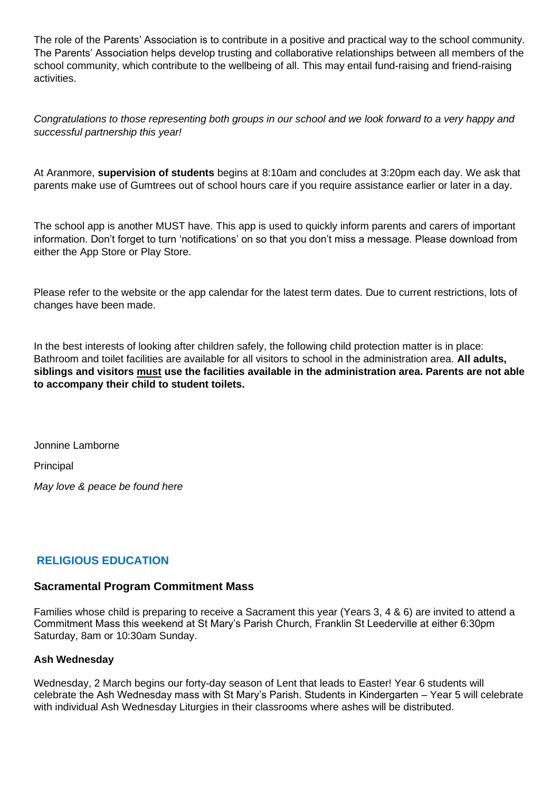The role of the Parents' Association is to contribute in a positive and practical way to the school community. The Parents' Association helps develop trusting and collaborative relationships between all members of the school community, which contribute to the wellbeing of all. This may entail fund-raising and friend-raising activities.

*Congratulations to those representing both groups in our school and we look forward to a very happy and successful partnership this year!*

At Aranmore, **supervision of students** begins at 8:10am and concludes at 3:20pm each day. We ask that parents make use of Gumtrees out of school hours care if you require assistance earlier or later in a day.

The school app is another MUST have. This app is used to quickly inform parents and carers of important information. Don't forget to turn 'notifications' on so that you don't miss a message. Please download from either the App Store or Play Store.

Please refer to the website or the app calendar for the latest term dates. Due to current restrictions, lots of changes have been made.

In the best interests of looking after children safely, the following child protection matter is in place: Bathroom and toilet facilities are available for all visitors to school in the administration area. **All adults, siblings and visitors must use the facilities available in the administration area. Parents are not able to accompany their child to student toilets.**

Jonnine Lamborne Principal

*May love & peace be found here*

#### **RELIGIOUS EDUCATION**

#### **Sacramental Program Commitment Mass**

Families whose child is preparing to receive a Sacrament this year (Years 3, 4 & 6) are invited to attend a Commitment Mass this weekend at St Mary's Parish Church, Franklin St Leederville at either 6:30pm Saturday, 8am or 10:30am Sunday.

#### **Ash Wednesday**

Wednesday, 2 March begins our forty-day season of Lent that leads to Easter! Year 6 students will celebrate the Ash Wednesday mass with St Mary's Parish. Students in Kindergarten – Year 5 will celebrate with individual Ash Wednesday Liturgies in their classrooms where ashes will be distributed.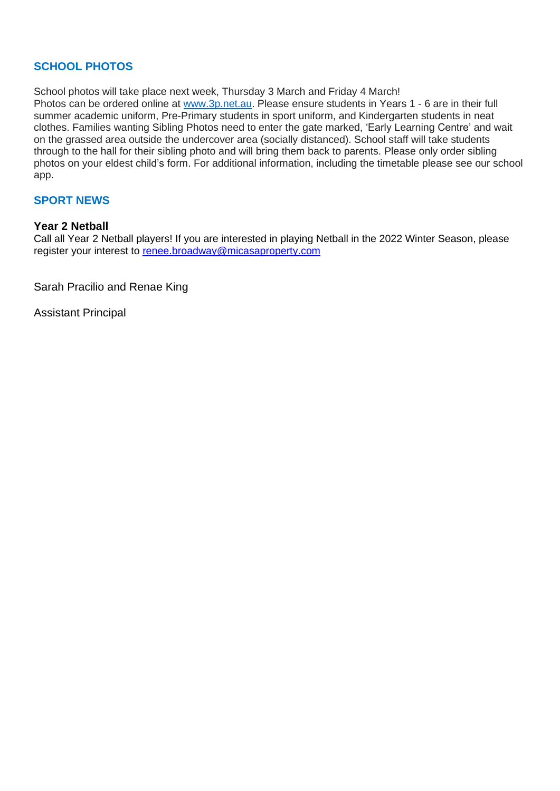#### **SCHOOL PHOTOS**

School photos will take place next week. Thursday 3 March and Friday 4 March! Photos can be ordered online at [www.3p.net.au.](http://www.3p.net.au/) Please ensure students in Years 1 - 6 are in their full summer academic uniform, Pre-Primary students in sport uniform, and Kindergarten students in neat clothes. Families wanting Sibling Photos need to enter the gate marked, 'Early Learning Centre' and wait on the grassed area outside the undercover area (socially distanced). School staff will take students through to the hall for their sibling photo and will bring them back to parents. Please only order sibling photos on your eldest child's form. For additional information, including the timetable please see our school app.

#### **SPORT NEWS**

#### **Year 2 Netball**

Call all Year 2 Netball players! If you are interested in playing Netball in the 2022 Winter Season, please register your interest to [renee.broadway@micasaproperty.com](mailto:renee.broadway@micasaproperty.com)

Sarah Pracilio and Renae King

Assistant Principal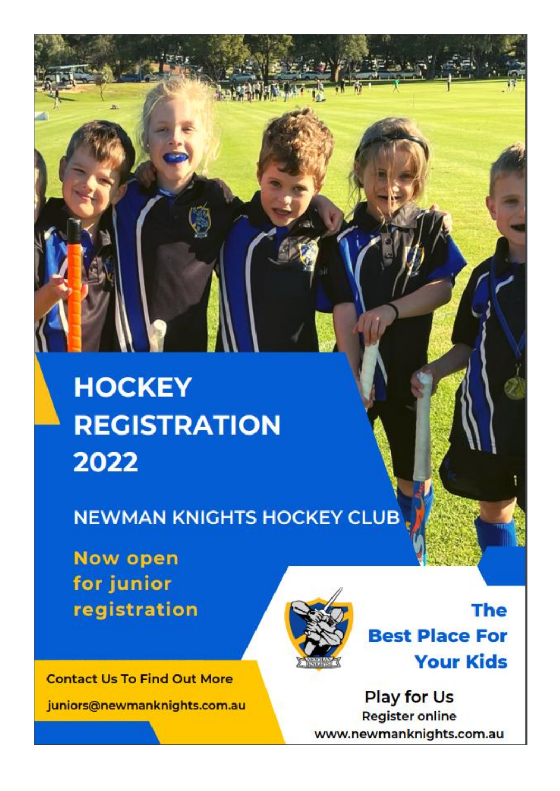# **HOCKEY REGISTRATION** 2022

**NEWMAN KNIGHTS HOCKEY CLUB** 

**Now open** for junior registration



**The Best Place For Your Kids** 

**Contact Us To Find Out More** juniors@newmanknights.com.au

**Play for Us Register online** www.newmanknights.com.au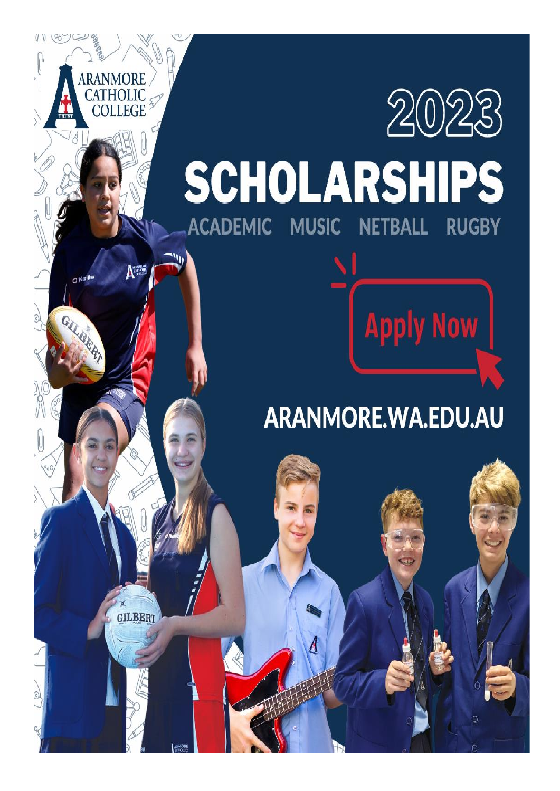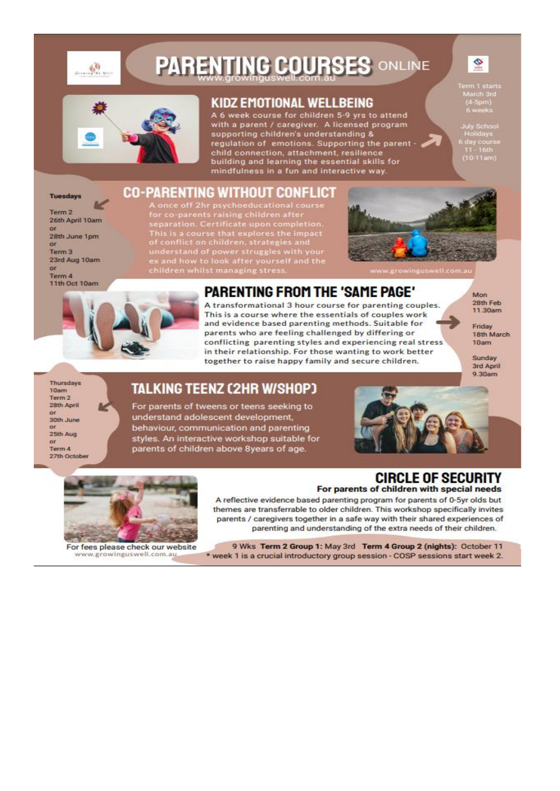

# **PARENTING COURSES ONLINE**



#### KIDZ EMOTIONAL WELLBEING

A 6 week course for children 5-9 yrs to attend with a parent / caregiver. A licensed program supporting children's understanding & regulation of emotions. Supporting the parent<br>child connection, attachment, resilience<br>building and learning the essential skills for mindfulness in a fun and interactive way.

arch 3r<br>1-5pm)<br>-

¢

day cours<br>11 - 16th<br>10-11am)

### CO-PARENTING WITHOUT CONFLICT

Term 2 26th April 10am  $\overline{a}$ 28th June 1pm or Term 3 23rd Aug 10am ne. Term 4 11th Oct 10am

**Tuesdavs** 

A once off 2hr psychoeducational course<br>for co-parents raising children after<br>separation. Certificate upon completion. This is a course that explores the impact<br>of conflict on children, strategies and<br>understand of power struggles with your<br>ex and how to look after yourself and the children whilst managing stress.





## **PARENTING FROM THE 'SAME PAGE'**

A transformational 3 hour course for parenting couples. This is a course where the essentials of couples work and evidence based parenting methods. Suitable for parents who are feeling challenged by differing or conflicting parenting styles and experiencing real stress in their relationship. For those wanting to work better together to raise happy family and secure children.

**Mon** 28th Feb 11.30am

Friday 18th March  $10<sub>am</sub>$ 

Sunday 3rd April 9.30am

Thursdays 10am Term 2 28th April  $\alpha$ r 30th June 25th Aug or Term 4 27th Octobe

### **TALKING TEENZ (2HR W/SHOP)**

For parents of tweens or teens seeking to understand adolescent development, behaviour, communication and parenting styles. An interactive workshop suitable for parents of children above 8years of age.





For fees please check our website www.growinguswell.com.au.

#### **CIRCLE OF SECURITY** For parents of children with special needs

A reflective evidence based parenting program for parents of 0-5yr olds but themes are transferrable to older children. This workshop specifically invites parents / caregivers together in a safe way with their shared experiences of parenting and understanding of the extra needs of their children.

9 Wks Term 2 Group 1: May 3rd Term 4 Group 2 (nights): October 11 \* week 1 is a crucial introductory group session - COSP sessions start week 2.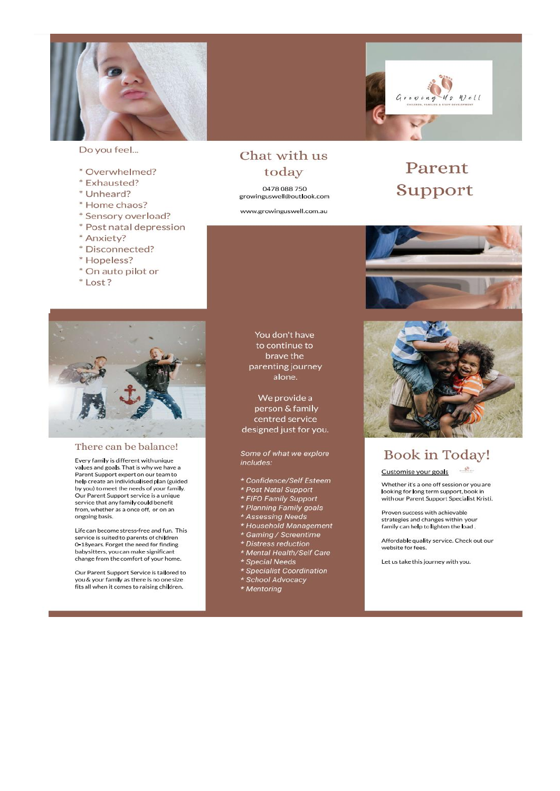

Do you feel...

- \* Overwhelmed?
- \* Exhausted?
- \* Unheard?
- \* Home chaos?
- \* Sensory overload?
- \* Post natal depression
- \* Anxiety?
- \* Disconnected?
- \* Hopeless?
- \* On auto pilot or
- \*Lost?



#### There can be balance!

Every family is different with unique values and goals. That is why we have a Parent Support expert on our team to help create an individualised plan (guided by you) to meet the needs of your family. Our Parent Support service is a unique service that any family could benefit<br>from, whether as a once off, or on an ongoing basis.

Life can become stress-free and fun. This service is suited to parents of children 0-18years. Forget the need for finding babysitters, you can make significant change from the comfort of your home.

Our Parent Support Service is tailored to you & your family as there is no one size fits all when it comes to raising children.

#### Chat with us today

0478 088 750 growinguswell@outlook.com

www.growinguswell.com.au

 $Well$ 

## Parent Support





## **Book in Today!**

 $\mathcal{A}^0$  .

Customise your goals

Whether it's a one off session or you are looking for long term support, book in with our Parent Support Specialist Kristi.

Proven success with achievable strategies and changes within your family can help to lighten the load.

Affordable quality service. Check out our website for fees

Let us take this journey with you.

You don't have to continue to brave the parenting journey alone.

We provide a person & family centred service designed just for you.

Some of what we explore includes:

- \* Confidence/Self Esteem
- \* Post Natal Support
- \* FIFO Family Support
- 
- 
- \* Planning Family goals<br>\* Planning Family goals<br>\* Household Management
- \* Gaming / Screentime
- \* Distress reduction<br>\* Distress reduction<br>\* Mental Health/Self Care
- \* Special Needs
- \* Specialist Coordination<br>\* School Advocacy
- 
- \* Mentoring